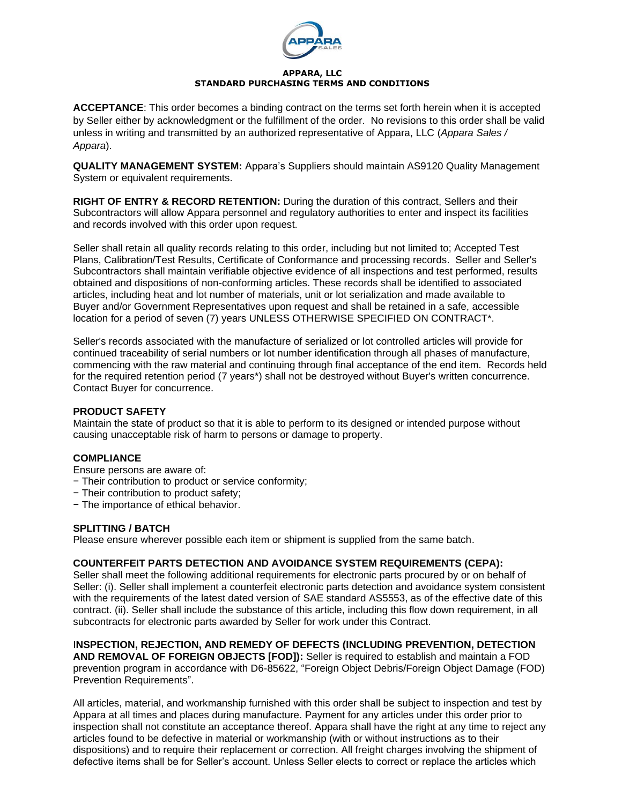

#### **APPARA, LLC STANDARD PURCHASING TERMS AND CONDITIONS**

**ACCEPTANCE**: This order becomes a binding contract on the terms set forth herein when it is accepted by Seller either by acknowledgment or the fulfillment of the order. No revisions to this order shall be valid unless in writing and transmitted by an authorized representative of Appara, LLC (*Appara Sales / Appara*).

**QUALITY MANAGEMENT SYSTEM:** Appara's Suppliers should maintain AS9120 Quality Management System or equivalent requirements.

**RIGHT OF ENTRY & RECORD RETENTION:** During the duration of this contract, Sellers and their Subcontractors will allow Appara personnel and regulatory authorities to enter and inspect its facilities and records involved with this order upon request.

Seller shall retain all quality records relating to this order, including but not limited to; Accepted Test Plans, Calibration/Test Results, Certificate of Conformance and processing records. Seller and Seller's Subcontractors shall maintain verifiable objective evidence of all inspections and test performed, results obtained and dispositions of non-conforming articles. These records shall be identified to associated articles, including heat and lot number of materials, unit or lot serialization and made available to Buyer and/or Government Representatives upon request and shall be retained in a safe, accessible location for a period of seven (7) years UNLESS OTHERWISE SPECIFIED ON CONTRACT\*.

Seller's records associated with the manufacture of serialized or lot controlled articles will provide for continued traceability of serial numbers or lot number identification through all phases of manufacture, commencing with the raw material and continuing through final acceptance of the end item. Records held for the required retention period (7 years\*) shall not be destroyed without Buyer's written concurrence. Contact Buyer for concurrence.

## **PRODUCT SAFETY**

Maintain the state of product so that it is able to perform to its designed or intended purpose without causing unacceptable risk of harm to persons or damage to property.

# **COMPLIANCE**

Ensure persons are aware of:

- − Their contribution to product or service conformity;
- − Their contribution to product safety;
- − The importance of ethical behavior.

## **SPLITTING / BATCH**

Please ensure wherever possible each item or shipment is supplied from the same batch.

## **COUNTERFEIT PARTS DETECTION AND AVOIDANCE SYSTEM REQUIREMENTS (CEPA):**

Seller shall meet the following additional requirements for electronic parts procured by or on behalf of Seller: (i). Seller shall implement a counterfeit electronic parts detection and avoidance system consistent with the requirements of the latest dated version of SAE standard AS5553, as of the effective date of this contract. (ii). Seller shall include the substance of this article, including this flow down requirement, in all subcontracts for electronic parts awarded by Seller for work under this Contract.

## I**NSPECTION, REJECTION, AND REMEDY OF DEFECTS (INCLUDING PREVENTION, DETECTION**

**AND REMOVAL OF FOREIGN OBJECTS [FOD]):** Seller is required to establish and maintain a FOD prevention program in accordance with D6-85622, "Foreign Object Debris/Foreign Object Damage (FOD) Prevention Requirements".

All articles, material, and workmanship furnished with this order shall be subject to inspection and test by Appara at all times and places during manufacture. Payment for any articles under this order prior to inspection shall not constitute an acceptance thereof. Appara shall have the right at any time to reject any articles found to be defective in material or workmanship (with or without instructions as to their dispositions) and to require their replacement or correction. All freight charges involving the shipment of defective items shall be for Seller's account. Unless Seller elects to correct or replace the articles which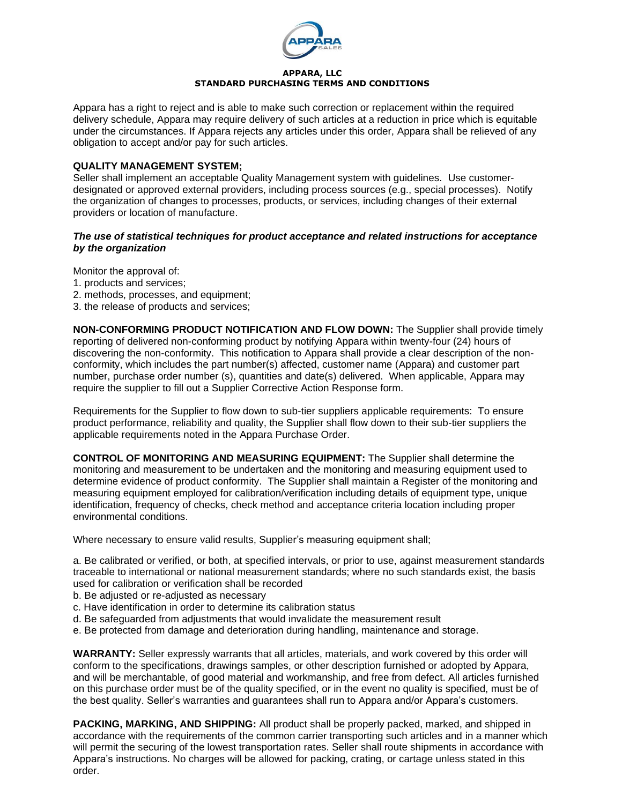

### **APPARA, LLC STANDARD PURCHASING TERMS AND CONDITIONS**

Appara has a right to reject and is able to make such correction or replacement within the required delivery schedule, Appara may require delivery of such articles at a reduction in price which is equitable under the circumstances. If Appara rejects any articles under this order, Appara shall be relieved of any obligation to accept and/or pay for such articles.

## **QUALITY MANAGEMENT SYSTEM;**

Seller shall implement an acceptable Quality Management system with guidelines. Use customerdesignated or approved external providers, including process sources (e.g., special processes). Notify the organization of changes to processes, products, or services, including changes of their external providers or location of manufacture.

### *The use of statistical techniques for product acceptance and related instructions for acceptance by the organization*

Monitor the approval of:

- 1. products and services;
- 2. methods, processes, and equipment;
- 3. the release of products and services;

**NON-CONFORMING PRODUCT NOTIFICATION AND FLOW DOWN:** The Supplier shall provide timely reporting of delivered non-conforming product by notifying Appara within twenty-four (24) hours of discovering the non-conformity. This notification to Appara shall provide a clear description of the nonconformity, which includes the part number(s) affected, customer name (Appara) and customer part number, purchase order number (s), quantities and date(s) delivered. When applicable, Appara may require the supplier to fill out a Supplier Corrective Action Response form.

Requirements for the Supplier to flow down to sub-tier suppliers applicable requirements: To ensure product performance, reliability and quality, the Supplier shall flow down to their sub-tier suppliers the applicable requirements noted in the Appara Purchase Order.

**CONTROL OF MONITORING AND MEASURING EQUIPMENT:** The Supplier shall determine the monitoring and measurement to be undertaken and the monitoring and measuring equipment used to determine evidence of product conformity. The Supplier shall maintain a Register of the monitoring and measuring equipment employed for calibration/verification including details of equipment type, unique identification, frequency of checks, check method and acceptance criteria location including proper environmental conditions.

Where necessary to ensure valid results, Supplier's measuring equipment shall;

a. Be calibrated or verified, or both, at specified intervals, or prior to use, against measurement standards traceable to international or national measurement standards; where no such standards exist, the basis used for calibration or verification shall be recorded

- b. Be adjusted or re-adjusted as necessary
- c. Have identification in order to determine its calibration status
- d. Be safeguarded from adjustments that would invalidate the measurement result
- e. Be protected from damage and deterioration during handling, maintenance and storage.

**WARRANTY:** Seller expressly warrants that all articles, materials, and work covered by this order will conform to the specifications, drawings samples, or other description furnished or adopted by Appara, and will be merchantable, of good material and workmanship, and free from defect. All articles furnished on this purchase order must be of the quality specified, or in the event no quality is specified, must be of the best quality. Seller's warranties and guarantees shall run to Appara and/or Appara's customers.

**PACKING, MARKING, AND SHIPPING:** All product shall be properly packed, marked, and shipped in accordance with the requirements of the common carrier transporting such articles and in a manner which will permit the securing of the lowest transportation rates. Seller shall route shipments in accordance with Appara's instructions. No charges will be allowed for packing, crating, or cartage unless stated in this order.